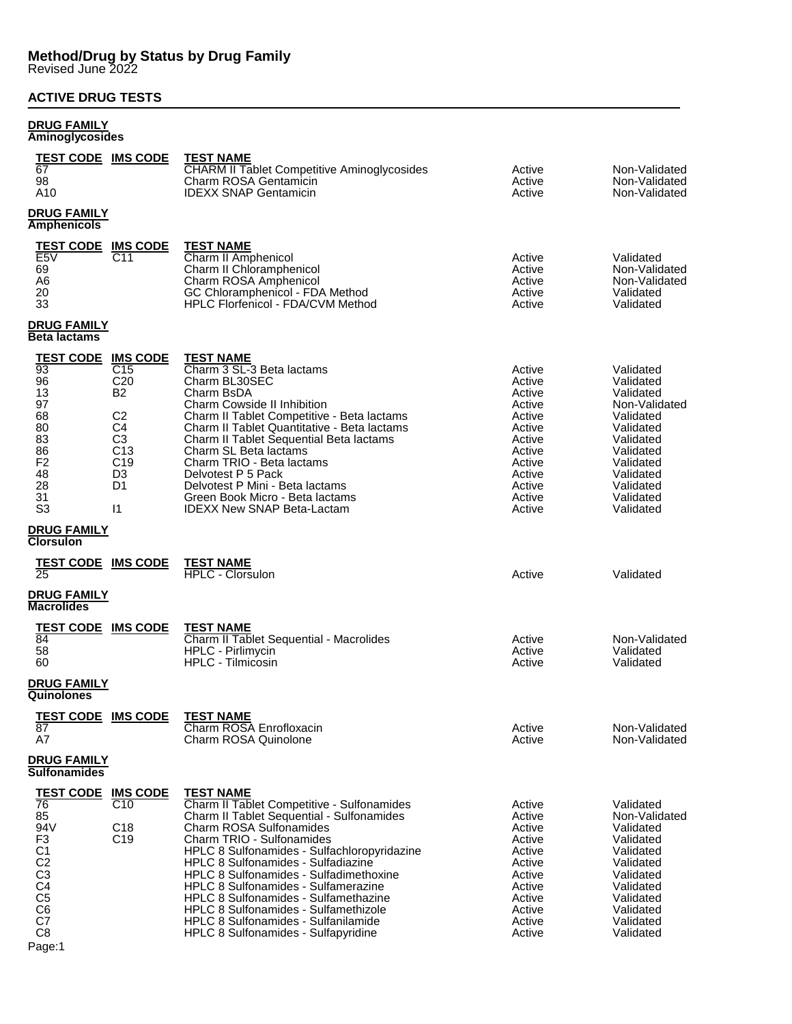### **ACTIVE DRUG TESTS**

#### **DRUG FAMILY Aminoglycosides**

| Ammogrycosiucs                                                                                                                                                                             |                                                                                                                                                                      |                                                                                                                                                                                                                                                                                                                                                                                                                                                                                                                |                                                                                                                                |                                                                                                                                                                           |
|--------------------------------------------------------------------------------------------------------------------------------------------------------------------------------------------|----------------------------------------------------------------------------------------------------------------------------------------------------------------------|----------------------------------------------------------------------------------------------------------------------------------------------------------------------------------------------------------------------------------------------------------------------------------------------------------------------------------------------------------------------------------------------------------------------------------------------------------------------------------------------------------------|--------------------------------------------------------------------------------------------------------------------------------|---------------------------------------------------------------------------------------------------------------------------------------------------------------------------|
| <u>TEST CODE IMS CODE</u><br>67<br>98<br>A10                                                                                                                                               |                                                                                                                                                                      | <b>TEST NAME</b><br><b>CHARM II Tablet Competitive Aminoglycosides</b><br>Charm ROSA Gentamicin<br><b>IDEXX SNAP Gentamicin</b>                                                                                                                                                                                                                                                                                                                                                                                | Active<br>Active<br>Active                                                                                                     | Non-Validated<br>Non-Validated<br>Non-Validated                                                                                                                           |
| <b>DRUG FAMILY</b><br><b>Amphenicols</b>                                                                                                                                                   |                                                                                                                                                                      |                                                                                                                                                                                                                                                                                                                                                                                                                                                                                                                |                                                                                                                                |                                                                                                                                                                           |
| <b>TEST CODE</b><br>E <sub>5</sub> V<br>69<br>A6<br>20<br>33                                                                                                                               | <b>IMS CODE</b><br>C <sub>11</sub>                                                                                                                                   | <b>TEST NAME</b><br>Charm II Amphenicol<br>Charm II Chloramphenicol<br>Charm ROSA Amphenicol<br>GC Chloramphenicol - FDA Method<br><b>HPLC Florfenicol - FDA/CVM Method</b>                                                                                                                                                                                                                                                                                                                                    | Active<br>Active<br>Active<br>Active<br>Active                                                                                 | Validated<br>Non-Validated<br>Non-Validated<br>Validated<br>Validated                                                                                                     |
| <b>DRUG FAMILY</b><br><b>Beta lactams</b>                                                                                                                                                  |                                                                                                                                                                      |                                                                                                                                                                                                                                                                                                                                                                                                                                                                                                                |                                                                                                                                |                                                                                                                                                                           |
| <u>TEST CODE</u><br>$\overline{93}$<br>96<br>13<br>97<br>68<br>80<br>83<br>86<br>F <sub>2</sub><br>48<br>28<br>31<br>S <sub>3</sub>                                                        | <b>IMS CODE</b><br>C15<br>C <sub>20</sub><br>B2<br>C <sub>2</sub><br>C4<br>C <sub>3</sub><br>C <sub>13</sub><br>C <sub>19</sub><br>D <sub>3</sub><br>D1<br>$\vert$ 1 | <b>TEST NAME</b><br>Charm 3 SL-3 Beta lactams<br>Charm BL30SEC<br>Charm BsDA<br><b>Charm Cowside II Inhibition</b><br>Charm II Tablet Competitive - Beta lactams<br>Charm II Tablet Quantitative - Beta lactams<br>Charm II Tablet Sequential Beta lactams<br>Charm SL Beta lactams<br>Charm TRIO - Beta lactams<br>Delvotest P 5 Pack<br>Delvotest P Mini - Beta lactams<br>Green Book Micro - Beta lactams<br><b>IDEXX New SNAP Beta-Lactam</b>                                                              | Active<br>Active<br>Active<br>Active<br>Active<br>Active<br>Active<br>Active<br>Active<br>Active<br>Active<br>Active<br>Active | Validated<br>Validated<br>Validated<br>Non-Validated<br>Validated<br>Validated<br>Validated<br>Validated<br>Validated<br>Validated<br>Validated<br>Validated<br>Validated |
| <b>DRUG FAMILY</b><br><b>Clorsulon</b>                                                                                                                                                     |                                                                                                                                                                      |                                                                                                                                                                                                                                                                                                                                                                                                                                                                                                                |                                                                                                                                |                                                                                                                                                                           |
| TEST CODE<br>25                                                                                                                                                                            | <b>IMS CODE</b>                                                                                                                                                      | <b>TEST NAME</b><br><b>HPLC - Clorsulon</b>                                                                                                                                                                                                                                                                                                                                                                                                                                                                    | Active                                                                                                                         | Validated                                                                                                                                                                 |
| <b>DRUG FAMILY</b><br><b>Macrolides</b>                                                                                                                                                    |                                                                                                                                                                      |                                                                                                                                                                                                                                                                                                                                                                                                                                                                                                                |                                                                                                                                |                                                                                                                                                                           |
| <b>TEST CODE</b><br>84<br>58<br>60                                                                                                                                                         | <b>IMS CODE</b>                                                                                                                                                      | <b>TEST NAME</b><br>Charm II Tablet Sequential - Macrolides<br>HPLC - Pirlimycin<br><b>HPLC - Tilmicosin</b>                                                                                                                                                                                                                                                                                                                                                                                                   | Active<br>Active<br>Active                                                                                                     | Non-Validated<br>Validated<br>Validated                                                                                                                                   |
| <b>DRUG FAMILY</b><br>Quinolones                                                                                                                                                           |                                                                                                                                                                      |                                                                                                                                                                                                                                                                                                                                                                                                                                                                                                                |                                                                                                                                |                                                                                                                                                                           |
| <b>TEST CODE IMS CODE</b><br>87<br>A7                                                                                                                                                      |                                                                                                                                                                      | <b>TEST NAME</b><br>Charm ROSA Enrofloxacin<br>Charm ROSA Quinolone                                                                                                                                                                                                                                                                                                                                                                                                                                            | Active<br>Active                                                                                                               | Non-Validated<br>Non-Validated                                                                                                                                            |
| DRUG FAMILY<br>Sulfonamides                                                                                                                                                                |                                                                                                                                                                      |                                                                                                                                                                                                                                                                                                                                                                                                                                                                                                                |                                                                                                                                |                                                                                                                                                                           |
| <u>TEST CODE</u><br>76<br>85<br>94V<br>F <sub>3</sub><br>C <sub>1</sub><br>C <sub>2</sub><br>C <sub>3</sub><br>C <sub>4</sub><br>$\overline{C}5$<br>C <sub>6</sub><br>C7<br>C <sub>8</sub> | <b>IMS CODE</b><br>C10<br>C <sub>18</sub><br>C <sub>19</sub>                                                                                                         | <b>TEST NAME</b><br>Charm II Tablet Competitive - Sulfonamides<br>Charm II Tablet Sequential - Sulfonamides<br><b>Charm ROSA Sulfonamides</b><br>Charm TRIO - Sulfonamides<br>HPLC 8 Sulfonamides - Sulfachloropyridazine<br>HPLC 8 Sulfonamides - Sulfadiazine<br>HPLC 8 Sulfonamides - Sulfadimethoxine<br>HPLC 8 Sulfonamides - Sulfamerazine<br>HPLC 8 Sulfonamides - Sulfamethazine<br>HPLC 8 Sulfonamides - Sulfamethizole<br>HPLC 8 Sulfonamides - Sulfanilamide<br>HPLC 8 Sulfonamides - Sulfapyridine | Active<br>Active<br>Active<br>Active<br>Active<br>Active<br>Active<br>Active<br>Active<br>Active<br>Active<br>Active           | Validated<br>Non-Validated<br>Validated<br>Validated<br>Validated<br>Validated<br>Validated<br>Validated<br>Validated<br>Validated<br>Validated<br>Validated              |

Page:1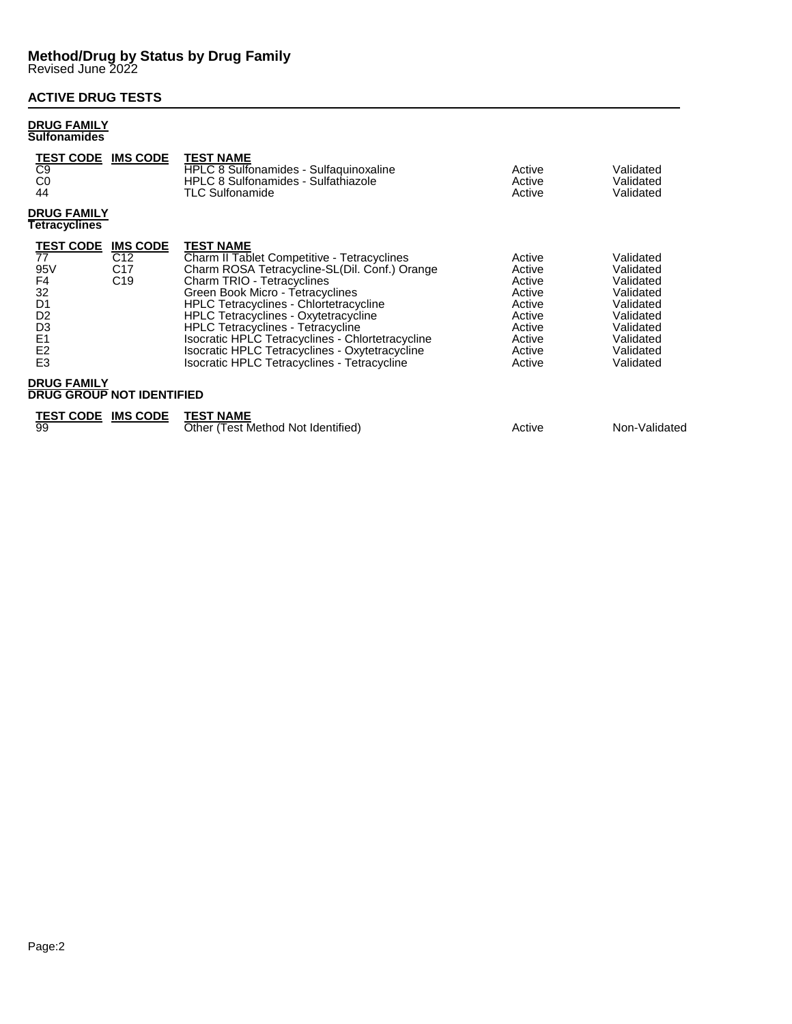## **ACTIVE DRUG TESTS**

### **DRUG FAMILY Sulfonamides**

| <b>TEST CODE</b><br>C9<br>C <sub>0</sub><br>44                                                                                                                     | <b>IMS CODE</b>                                               | <b>TEST NAME</b><br>HPLC 8 Sulfonamides - Sulfaquinoxaline<br><b>HPLC 8 Sulfonamides - Sulfathiazole</b><br><b>TLC Sulfonamide</b>                                                                                                                                                                                                                                                                                                                                                  | Active<br>Active<br>Active                                                                       | Validated<br>Validated<br>Validated                                                                                            |
|--------------------------------------------------------------------------------------------------------------------------------------------------------------------|---------------------------------------------------------------|-------------------------------------------------------------------------------------------------------------------------------------------------------------------------------------------------------------------------------------------------------------------------------------------------------------------------------------------------------------------------------------------------------------------------------------------------------------------------------------|--------------------------------------------------------------------------------------------------|--------------------------------------------------------------------------------------------------------------------------------|
| <b>DRUG FAMILY</b><br>Tetracyclines                                                                                                                                |                                                               |                                                                                                                                                                                                                                                                                                                                                                                                                                                                                     |                                                                                                  |                                                                                                                                |
| <b>TEST CODE</b><br>$\overline{77}$<br>95V<br>F4<br>32<br>D <sub>1</sub><br>D <sub>2</sub><br>D <sub>3</sub><br>E <sub>1</sub><br>E <sub>2</sub><br>E <sub>3</sub> | <b>IMS CODE</b><br>C12.<br>C <sub>17</sub><br>C <sub>19</sub> | <b>TEST NAME</b><br>Charm II Tablet Competitive - Tetracyclines<br>Charm ROSA Tetracycline-SL(Dil. Conf.) Orange<br>Charm TRIO - Tetracyclines<br>Green Book Micro - Tetracyclines<br><b>HPLC Tetracyclines - Chlortetracycline</b><br><b>HPLC Tetracyclines - Oxytetracycline</b><br><b>HPLC Tetracyclines - Tetracycline</b><br>Isocratic HPLC Tetracyclines - Chlortetracycline<br>Isocratic HPLC Tetracyclines - Oxytetracycline<br>Isocratic HPLC Tetracyclines - Tetracycline | Active<br>Active<br>Active<br>Active<br>Active<br>Active<br>Active<br>Active<br>Active<br>Active | Validated<br>Validated<br>Validated<br>Validated<br>Validated<br>Validated<br>Validated<br>Validated<br>Validated<br>Validated |
| <b>DRUG FAMILY</b><br><b>DRUG GROUP NOT IDENTIFIED</b>                                                                                                             |                                                               |                                                                                                                                                                                                                                                                                                                                                                                                                                                                                     |                                                                                                  |                                                                                                                                |
| <u>TEST CODE</u><br>99                                                                                                                                             | <b>IMS CODE</b>                                               | <b>TEST NAME</b><br>Other (Test Method Not Identified)                                                                                                                                                                                                                                                                                                                                                                                                                              | Active                                                                                           | Non-Validated                                                                                                                  |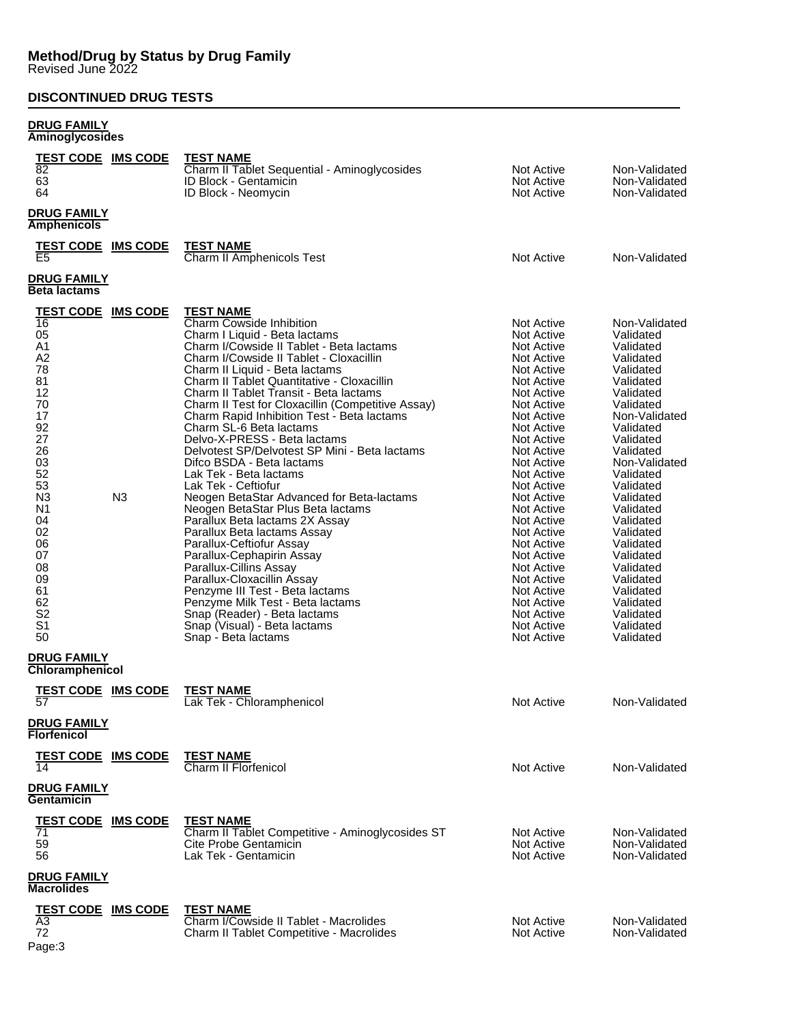# **DISCONTINUED DRUG TESTS**

#### **DRUG FAMILY Aminoglycosides**

| <b>TEST CODE IMS CODE</b><br>$\overline{82}$<br>63<br>64                                     |                 | <b>TEST NAME</b><br>Charm II Tablet Sequential - Aminoglycosides<br>ID Block - Gentamicin<br>ID Block - Neomycin                                                                                                                                                                                                                                                                  | Not Active<br>Not Active<br>Not Active                                                                                                                               | Non-Validated<br>Non-Validated<br>Non-Validated                                                                                                          |
|----------------------------------------------------------------------------------------------|-----------------|-----------------------------------------------------------------------------------------------------------------------------------------------------------------------------------------------------------------------------------------------------------------------------------------------------------------------------------------------------------------------------------|----------------------------------------------------------------------------------------------------------------------------------------------------------------------|----------------------------------------------------------------------------------------------------------------------------------------------------------|
| <b>DRUG FAMILY</b><br><b>Amphenicols</b>                                                     |                 |                                                                                                                                                                                                                                                                                                                                                                                   |                                                                                                                                                                      |                                                                                                                                                          |
| <b>TEST CODE IMS CODE</b><br>E5                                                              |                 | <b>TEST NAME</b><br>Charm II Amphenicols Test                                                                                                                                                                                                                                                                                                                                     | Not Active                                                                                                                                                           | Non-Validated                                                                                                                                            |
| <b>DRUG FAMILY</b><br><b>Beta lactams</b>                                                    |                 |                                                                                                                                                                                                                                                                                                                                                                                   |                                                                                                                                                                      |                                                                                                                                                          |
| <b>TEST CODE IMS CODE</b><br>16<br>05<br>A <sub>1</sub><br>A <sub>2</sub><br>78<br>81<br>12  |                 | <b>TEST NAME</b><br>Charm Cowside Inhibition<br>Charm I Liquid - Beta lactams<br>Charm I/Cowside II Tablet - Beta lactams<br>Charm I/Cowside II Tablet - Cloxacillin<br>Charm II Liquid - Beta lactams<br>Charm II Tablet Quantitative - Cloxacillin<br>Charm II Tablet Transit - Beta lactams                                                                                    | Not Active<br>Not Active<br>Not Active<br>Not Active<br>Not Active<br>Not Active<br>Not Active                                                                       | Non-Validated<br>Validated<br>Validated<br>Validated<br>Validated<br>Validated<br>Validated                                                              |
| 70<br>17<br>92<br>27<br>26<br>03<br>52<br>53<br>N <sub>3</sub>                               | N3              | Charm II Test for Cloxacillin (Competitive Assay)<br>Charm Rapid Inhibition Test - Beta lactams<br>Charm SL-6 Beta lactams<br>Delvo-X-PRESS - Beta lactams<br>Delvotest SP/Delvotest SP Mini - Beta lactams<br>Difco BSDA - Beta lactams<br>Lak Tek - Beta lactams<br>Lak Tek - Ceftiofur<br>Neogen BetaStar Advanced for Beta-lactams                                            | Not Active<br>Not Active<br>Not Active<br>Not Active<br>Not Active<br>Not Active<br>Not Active<br>Not Active<br>Not Active                                           | Validated<br>Non-Validated<br>Validated<br>Validated<br>Validated<br>Non-Validated<br>Validated<br>Validated<br>Validated                                |
| N1<br>04<br>02<br>06<br>07<br>08<br>09<br>61<br>62<br>S <sub>2</sub><br>S <sub>1</sub><br>50 |                 | Neogen BetaStar Plus Beta lactams<br>Parallux Beta lactams 2X Assay<br>Parallux Beta lactams Assay<br>Parallux-Ceftiofur Assay<br>Parallux-Cephapirin Assay<br>Parallux-Cillins Assay<br>Parallux-Cloxacillin Assay<br>Penzyme III Test - Beta lactams<br>Penzyme Milk Test - Beta lactams<br>Snap (Reader) - Beta lactams<br>Snap (Visual) - Beta lactams<br>Snap - Beta lactams | Not Active<br>Not Active<br>Not Active<br>Not Active<br>Not Active<br>Not Active<br>Not Active<br>Not Active<br>Not Active<br>Not Active<br>Not Active<br>Not Active | Validated<br>Validated<br>Validated<br>Validated<br>Validated<br>Validated<br>Validated<br>Validated<br>Validated<br>Validated<br>Validated<br>Validated |
| <b>DRUG FAMILY</b><br>Chloramphenicol                                                        |                 |                                                                                                                                                                                                                                                                                                                                                                                   |                                                                                                                                                                      |                                                                                                                                                          |
| <b>TEST CODE IMS CODE</b>                                                                    |                 | <b>TEST NAME</b><br>Lak Tek - Chloramphenicol                                                                                                                                                                                                                                                                                                                                     | Not Active                                                                                                                                                           | Non-Validated                                                                                                                                            |
| <b>DRUG FAMILY</b><br><b>Florfenicol</b>                                                     |                 |                                                                                                                                                                                                                                                                                                                                                                                   |                                                                                                                                                                      |                                                                                                                                                          |
| <b>TEST CODE</b>                                                                             | <b>IMS CODE</b> | <b>TEST NAME</b><br>Charm II Florfenicol                                                                                                                                                                                                                                                                                                                                          | Not Active                                                                                                                                                           | Non-Validated                                                                                                                                            |
| <u>DRUG FAMILY</u><br><b>Gentamicin</b>                                                      |                 |                                                                                                                                                                                                                                                                                                                                                                                   |                                                                                                                                                                      |                                                                                                                                                          |
| <b>TEST CODE IMS CODE</b><br>71<br>59<br>56                                                  |                 | <b>TEST NAME</b><br>Charm II Tablet Competitive - Aminoglycosides ST<br>Cite Probe Gentamicin<br>Lak Tek - Gentamicin                                                                                                                                                                                                                                                             | Not Active<br>Not Active<br><b>Not Active</b>                                                                                                                        | Non-Validated<br>Non-Validated<br>Non-Validated                                                                                                          |
| <b>DRUG FAMILY</b><br><b>Macrolides</b>                                                      |                 |                                                                                                                                                                                                                                                                                                                                                                                   |                                                                                                                                                                      |                                                                                                                                                          |
| <b>TEST CODE IMS CODE</b><br>A3<br>72                                                        |                 | <b>TEST NAME</b><br>Charm I/Cowside II Tablet - Macrolides<br>Charm II Tablet Competitive - Macrolides                                                                                                                                                                                                                                                                            | Not Active<br>Not Active                                                                                                                                             | Non-Validated<br>Non-Validated                                                                                                                           |

Page:3